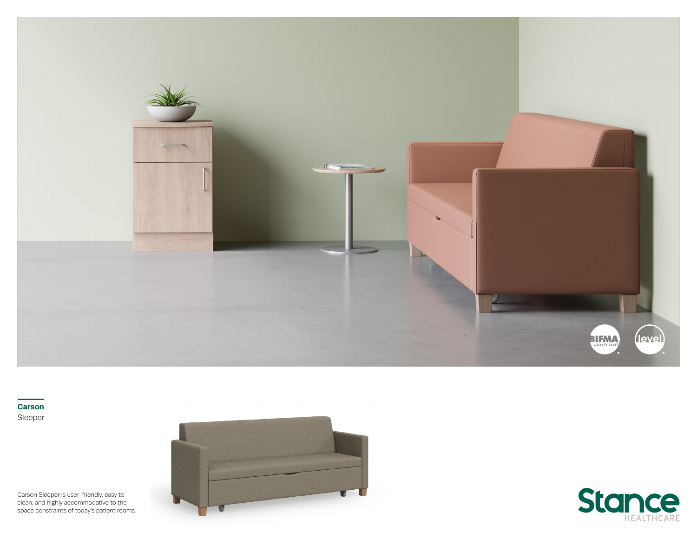

**Carson** Sleeper

Carson Sleeper is user-friendly, easy to clean, and highly accommodative to the space constraints of today's patient rooms.



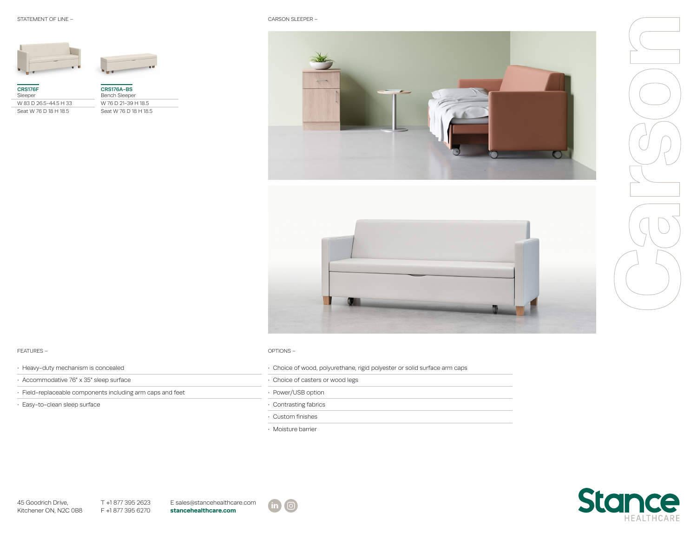



| CRS176F<br>Sleeper    | CRS176A-BS<br><b>Bench Sleeper</b> |
|-----------------------|------------------------------------|
| W 83 D 26.5-44.5 H 33 | W 76 D 21-39 H 18.5                |
| Seat W 76 D 18 H 18.5 | Seat W 76 D 18 H 18.5              |



## FEATURES – OPTIONS –

| · Heavy-duty mechanism is concealed                      |
|----------------------------------------------------------|
| · Accommodative 76" x 35" sleep surface                  |
| Eield-replaceable components including arm caps and feet |
| · Easy-to-clean sleep surface                            |

| Heavy-duty mechanism is concealed                        | . Choice of wood, polyurethane, rigid polyester or solid surface arm caps |
|----------------------------------------------------------|---------------------------------------------------------------------------|
| ∙ Accommodative 76″ x 35″ sleep surface                  | Choice of casters or wood legs                                            |
| Field-replaceable components including arm caps and feet | Power/USB option                                                          |
| Easy-to-clean sleep surface                              | Contrasting fabrics                                                       |

• Custom finishes

• Moisture barrier



T +1 877 395 2623 F +1 877 395 6270 E sales@stancehealthcare.com **stancehealthcare.com**